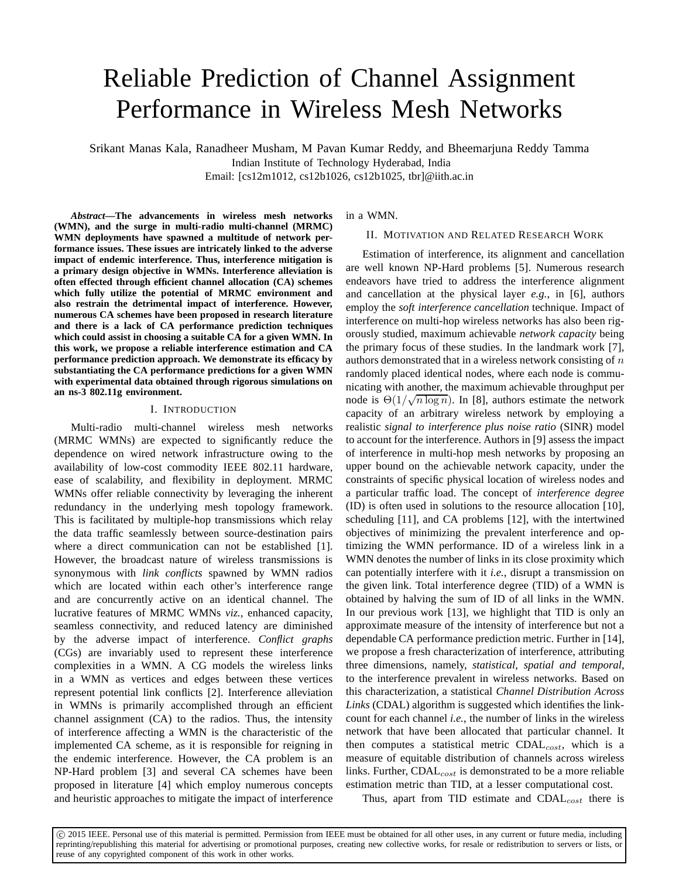# Reliable Prediction of Channel Assignment Performance in Wireless Mesh Networks

Srikant Manas Kala, Ranadheer Musham, M Pavan Kumar Reddy, and Bheemarjuna Reddy Tamma Indian Institute of Technology Hyderabad, India Email: [cs12m1012, cs12b1026, cs12b1025, tbr]@iith.ac.in

*Abstract***—The advancements in wireless mesh networks (WMN), and the surge in multi-radio multi-channel (MRMC) WMN deployments have spawned a multitude of network performance issues. These issues are intricately linked to the adverse impact of endemic interference. Thus, interference mitigation is a primary design objective in WMNs. Interference alleviation is often effected through efficient channel allocation (CA) schemes which fully utilize the potential of MRMC environment and also restrain the detrimental impact of interference. However, numerous CA schemes have been proposed in research literature and there is a lack of CA performance prediction techniques which could assist in choosing a suitable CA for a given WMN. In this work, we propose a reliable interference estimation and CA performance prediction approach. We demonstrate its efficacy by substantiating the CA performance predictions for a given WMN with experimental data obtained through rigorous simulations on an ns-3 802.11g environment.**

### I. INTRODUCTION

Multi-radio multi-channel wireless mesh networks (MRMC WMNs) are expected to significantly reduce the dependence on wired network infrastructure owing to the availability of low-cost commodity IEEE 802.11 hardware, ease of scalability, and flexibility in deployment. MRMC WMNs offer reliable connectivity by leveraging the inherent redundancy in the underlying mesh topology framework. This is facilitated by multiple-hop transmissions which relay the data traffic seamlessly between source-destination pairs where a direct communication can not be established [1]. However, the broadcast nature of wireless transmissions is synonymous with *link conflicts* spawned by WMN radios which are located within each other's interference range and are concurrently active on an identical channel. The lucrative features of MRMC WMNs *viz.*, enhanced capacity, seamless connectivity, and reduced latency are diminished by the adverse impact of interference. *Conflict graphs* (CGs) are invariably used to represent these interference complexities in a WMN. A CG models the wireless links in a WMN as vertices and edges between these vertices represent potential link conflicts [2]. Interference alleviation in WMNs is primarily accomplished through an efficient channel assignment (CA) to the radios. Thus, the intensity of interference affecting a WMN is the characteristic of the implemented CA scheme, as it is responsible for reigning in the endemic interference. However, the CA problem is an NP-Hard problem [3] and several CA schemes have been proposed in literature [4] which employ numerous concepts and heuristic approaches to mitigate the impact of interference

in a WMN.

#### II. MOTIVATION AND RELATED RESEARCH WORK

Estimation of interference, its alignment and cancellation are well known NP-Hard problems [5]. Numerous research endeavors have tried to address the interference alignment and cancellation at the physical layer *e.g.*, in [6], authors employ the *soft interference cancellation* technique. Impact of interference on multi-hop wireless networks has also been rigorously studied, maximum achievable *network capacity* being the primary focus of these studies. In the landmark work [7], authors demonstrated that in a wireless network consisting of  $n$ randomly placed identical nodes, where each node is communicating with another, the maximum achievable throughput per node is  $\Theta(1/\sqrt{n \log n})$ . In [8], authors estimate the network capacity of an arbitrary wireless network by employing a realistic *signal to interference plus noise ratio* (SINR) model to account for the interference. Authors in [9] assess the impact of interference in multi-hop mesh networks by proposing an upper bound on the achievable network capacity, under the constraints of specific physical location of wireless nodes and a particular traffic load. The concept of *interference degree* (ID) is often used in solutions to the resource allocation [10], scheduling [11], and CA problems [12], with the intertwined objectives of minimizing the prevalent interference and optimizing the WMN performance. ID of a wireless link in a WMN denotes the number of links in its close proximity which can potentially interfere with it *i.e.*, disrupt a transmission on the given link. Total interference degree (TID) of a WMN is obtained by halving the sum of ID of all links in the WMN. In our previous work [13], we highlight that TID is only an approximate measure of the intensity of interference but not a dependable CA performance prediction metric. Further in [14], we propose a fresh characterization of interference, attributing three dimensions, namely, *statistical, spatial and temporal*, to the interference prevalent in wireless networks. Based on this characterization, a statistical *Channel Distribution Across Links* (CDAL) algorithm is suggested which identifies the linkcount for each channel *i.e.*, the number of links in the wireless network that have been allocated that particular channel. It then computes a statistical metric  $CDAL<sub>cost</sub>$ , which is a measure of equitable distribution of channels across wireless links. Further,  $CDAL_{cost}$  is demonstrated to be a more reliable estimation metric than TID, at a lesser computational cost.

Thus, apart from TID estimate and  $CDAL<sub>cost</sub>$  there is

c 2015 IEEE. Personal use of this material is permitted. Permission from IEEE must be obtained for all other uses, in any current or future media, including reprinting/republishing this material for advertising or promotional purposes, creating new collective works, for resale or redistribution to servers or lists, or reuse of any copyrighted component of this work in other works.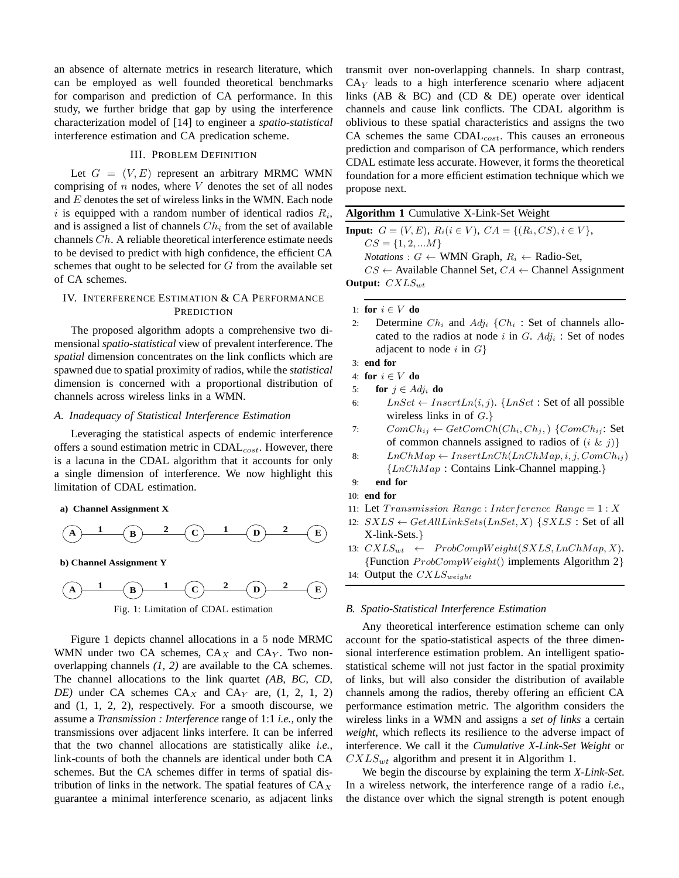an absence of alternate metrics in research literature, which can be employed as well founded theoretical benchmarks for comparison and prediction of CA performance. In this study, we further bridge that gap by using the interference characterization model of [14] to engineer a *spatio-statistical* interference estimation and CA predication scheme.

#### III. PROBLEM DEFINITION

Let  $G = (V, E)$  represent an arbitrary MRMC WMN comprising of  $n$  nodes, where  $V$  denotes the set of all nodes and  $E$  denotes the set of wireless links in the WMN. Each node i is equipped with a random number of identical radios  $R_i$ , and is assigned a list of channels  $Ch_i$  from the set of available channels Ch. A reliable theoretical interference estimate needs to be devised to predict with high confidence, the efficient CA schemes that ought to be selected for G from the available set of CA schemes.

## IV. INTERFERENCE ESTIMATION & CA PERFORMANCE **PREDICTION**

The proposed algorithm adopts a comprehensive two dimensional *spatio-statistical* view of prevalent interference. The *spatial* dimension concentrates on the link conflicts which are spawned due to spatial proximity of radios, while the *statistical* dimension is concerned with a proportional distribution of channels across wireless links in a WMN.

### *A. Inadequacy of Statistical Interference Estimation*

Leveraging the statistical aspects of endemic interference offers a sound estimation metric in  $CDAL_{cost}$ . However, there is a lacuna in the CDAL algorithm that it accounts for only a single dimension of interference. We now highlight this limitation of CDAL estimation.

#### **a) Channel Assignment X**

$$
(A) \quad \begin{array}{c|c} 1 & 0 \\ \hline \end{array} \quad \begin{array}{c|c} 2 & 0 \\ \hline \end{array} \quad \begin{array}{c|c} 1 & 0 \\ \hline \end{array} \quad \begin{array}{c} 2 & E \\ \hline \end{array}
$$

**b) Channel Assignment Y**



Figure 1 depicts channel allocations in a 5 node MRMC WMN under two CA schemes,  $CA_X$  and  $CA_Y$ . Two nonoverlapping channels *(1, 2)* are available to the CA schemes. The channel allocations to the link quartet *(AB, BC, CD, DE*) under CA schemes  $CA_X$  and  $CA_Y$  are,  $(1, 2, 1, 2)$ and (1, 1, 2, 2), respectively. For a smooth discourse, we assume a *Transmission : Interference* range of 1:1 *i.e.*, only the transmissions over adjacent links interfere. It can be inferred that the two channel allocations are statistically alike *i.e.*, link-counts of both the channels are identical under both CA schemes. But the CA schemes differ in terms of spatial distribution of links in the network. The spatial features of  $CA_X$ guarantee a minimal interference scenario, as adjacent links transmit over non-overlapping channels. In sharp contrast,  $CA<sub>Y</sub>$  leads to a high interference scenario where adjacent links (AB & BC) and (CD & DE) operate over identical channels and cause link conflicts. The CDAL algorithm is oblivious to these spatial characteristics and assigns the two CA schemes the same  $CDAL_{cost}$ . This causes an erroneous prediction and comparison of CA performance, which renders CDAL estimate less accurate. However, it forms the theoretical foundation for a more efficient estimation technique which we propose next.

#### **Algorithm 1** Cumulative X-Link-Set Weight

**Input:**  $G = (V, E), R_i (i \in V), CA = \{(R_i, CS), i \in V\},\$  $CS = \{1, 2, ... M\}$ 

*Notations* :  $G \leftarrow$  WMN Graph,  $R_i \leftarrow$  Radio-Set,

 $CS \leftarrow$  Available Channel Set,  $CA \leftarrow$  Channel Assignment **Output:**  $CXLS_{wt}$ 

1: **for**  $i \in V$  **do** 

- 2: Determine  $Ch_i$  and  $Adj_i$  { $Ch_i$  : Set of channels allocated to the radios at node i in  $G.$  Adj<sub>i</sub>: Set of nodes adjacent to node i in  $G$ }
- 3: **end for**

4: for 
$$
i \in V
$$
 do

5: **for**  $j \in Adj_i$  **do** 

- 6:  $LnSet \leftarrow InsertLn(i, j). \{LnSet : Set \text{ of all possible }$ wireless links in of  $G.$ }
- 7:  $ComCh_{ij} \leftarrow GetComCh(Ch_i, Ch_j, ) \{ComCh_{ij}: Set$ of common channels assigned to radios of  $(i \& j)$ }
- 8:  $LnChMap \leftarrow InsertLnCh(LnChMap, i, j, ComCh_{ij})$ {LnChMap : Contains Link-Channel mapping.}

- 10: **end for**
- 11: Let  $Transmission Range: Interference Range = 1: X$
- 12:  $SXLS \leftarrow GetAllLinkSets(LnSet, X) \{SXLS : Set \text{ of all }$ X-link-Sets.}
- 13:  $CXLS_{wt} \leftarrow ProbCompWeight(SXLS, LnChMap, X).$ {Function  $ProbCompWeight()$  implements Algorithm 2} 14: Output the  $CXLS_{weight}$

## *B. Spatio-Statistical Interference Estimation*

Any theoretical interference estimation scheme can only account for the spatio-statistical aspects of the three dimensional interference estimation problem. An intelligent spatiostatistical scheme will not just factor in the spatial proximity of links, but will also consider the distribution of available channels among the radios, thereby offering an efficient CA performance estimation metric. The algorithm considers the wireless links in a WMN and assigns a *set of links* a certain *weight*, which reflects its resilience to the adverse impact of interference. We call it the *Cumulative X-Link-Set Weight* or  $CXLS_{wt}$  algorithm and present it in Algorithm 1.

We begin the discourse by explaining the term *X-Link-Set*. In a wireless network, the interference range of a radio *i.e.*, the distance over which the signal strength is potent enough

<sup>9:</sup> **end for**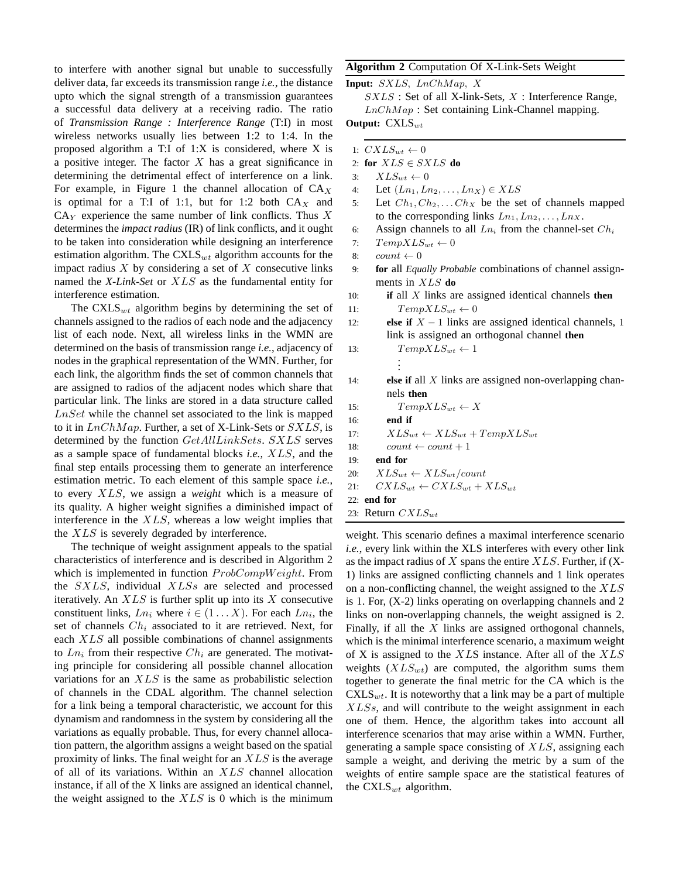to interfere with another signal but unable to successfully deliver data, far exceeds its transmission range *i.e.*, the distance upto which the signal strength of a transmission guarantees a successful data delivery at a receiving radio. The ratio of *Transmission Range : Interference Range* (T:I) in most wireless networks usually lies between 1:2 to 1:4. In the proposed algorithm a T:I of 1:X is considered, where X is a positive integer. The factor  $X$  has a great significance in determining the detrimental effect of interference on a link. For example, in Figure 1 the channel allocation of  $CA_X$ is optimal for a T:I of 1:1, but for 1:2 both  $CA_X$  and  $CA<sub>Y</sub>$  experience the same number of link conflicts. Thus X determines the *impact radius* (IR) of link conflicts, and it ought to be taken into consideration while designing an interference estimation algorithm. The  $\text{CXLS}_{wt}$  algorithm accounts for the impact radius  $X$  by considering a set of  $X$  consecutive links named the *X-Link-Set* or XLS as the fundamental entity for interference estimation.

The  $\text{CXLS}_{wt}$  algorithm begins by determining the set of channels assigned to the radios of each node and the adjacency list of each node. Next, all wireless links in the WMN are determined on the basis of transmission range *i.e.*, adjacency of nodes in the graphical representation of the WMN. Further, for each link, the algorithm finds the set of common channels that are assigned to radios of the adjacent nodes which share that particular link. The links are stored in a data structure called  $LnSet$  while the channel set associated to the link is mapped to it in  $LnChMap$ . Further, a set of X-Link-Sets or  $SXLS$ , is determined by the function GetAllLinkSets. SXLS serves as a sample space of fundamental blocks *i.e.*, XLS, and the final step entails processing them to generate an interference estimation metric. To each element of this sample space *i.e.*, to every XLS, we assign a *weight* which is a measure of its quality. A higher weight signifies a diminished impact of interference in the XLS, whereas a low weight implies that the XLS is severely degraded by interference.

The technique of weight assignment appeals to the spatial characteristics of interference and is described in Algorithm 2 which is implemented in function  $ProbCompWeight$ . From the SXLS, individual XLSs are selected and processed iteratively. An  $XLS$  is further split up into its X consecutive constituent links,  $Ln_i$  where  $i \in (1...X)$ . For each  $Ln_i$ , the set of channels  $Ch_i$  associated to it are retrieved. Next, for each XLS all possible combinations of channel assignments to  $Ln<sub>i</sub>$  from their respective  $Ch<sub>i</sub>$  are generated. The motivating principle for considering all possible channel allocation variations for an  $XLS$  is the same as probabilistic selection of channels in the CDAL algorithm. The channel selection for a link being a temporal characteristic, we account for this dynamism and randomness in the system by considering all the variations as equally probable. Thus, for every channel allocation pattern, the algorithm assigns a weight based on the spatial proximity of links. The final weight for an  $XLS$  is the average of all of its variations. Within an XLS channel allocation instance, if all of the X links are assigned an identical channel, the weight assigned to the  $XLS$  is 0 which is the minimum

## **Algorithm 2** Computation Of X-Link-Sets Weight

**Input:** SXLS, LnChMap, X

 $SXLS$ : Set of all X-link-Sets,  $X$ : Interference Range,  $LnChMap$ : Set containing Link-Channel mapping.

**Output:** CXLS<sub>wt</sub>

- 1:  $CXLS_{wt} \leftarrow 0$
- 2: **for** XLS ∈ SXLS **do**
- 3:  $XLS_{wt} \leftarrow 0$
- 4: Let  $(Ln_1, Ln_2, ..., Ln_X) \in XLS$
- 5: Let  $Ch_1, Ch_2, \ldots Ch_X$  be the set of channels mapped to the corresponding links  $Ln_1, Ln_2, \ldots, Ln_X$ .
- 6: Assign channels to all  $Ln<sub>i</sub>$  from the channel-set  $Ch<sub>i</sub>$
- 7:  $TempXLS_{wt} \leftarrow 0$
- 8:  $count \leftarrow 0$
- 9: **for** all *Equally Probable* combinations of channel assignments in XLS **do**
- 10: **if** all X links are assigned identical channels **then** 11:  $TempXLS_{wt} \leftarrow 0$

12: **else if**  $X - 1$  links are assigned identical channels, 1 link is assigned an orthogonal channel **then**

```
13: TempXLS_{wt} \leftarrow 1.
```
. .

14: **else if** all X links are assigned non-overlapping channels **then**

- 15:  $TempXLS_{wt} \leftarrow X$
- 16: **end if**
- 17:  $XLS_{wt} \leftarrow XLS_{wt} + TempXLS_{wt}$
- 18:  $count \leftarrow count + 1$
- 19: **end for**
- 20:  $XLS_{wt} \leftarrow XLS_{wt}/count$
- 21:  $CXLS_{wt} \leftarrow CXLS_{wt} + XLS_{wt}$
- 22: **end for**
- 23: Return  $CXLS_{wt}$

weight. This scenario defines a maximal interference scenario *i.e.*, every link within the XLS interferes with every other link as the impact radius of X spans the entire  $XLS$ . Further, if  $(X-$ 1) links are assigned conflicting channels and 1 link operates on a non-conflicting channel, the weight assigned to the XLS is 1. For, (X-2) links operating on overlapping channels and 2 links on non-overlapping channels, the weight assigned is 2. Finally, if all the  $X$  links are assigned orthogonal channels, which is the minimal interference scenario, a maximum weight of X is assigned to the XLS instance. After all of the XLS weights  $(XLS_{wt})$  are computed, the algorithm sums them together to generate the final metric for the CA which is the  $\text{CXLS}_{wt}$ . It is noteworthy that a link may be a part of multiple  $XLSs$ , and will contribute to the weight assignment in each one of them. Hence, the algorithm takes into account all interference scenarios that may arise within a WMN. Further, generating a sample space consisting of XLS, assigning each sample a weight, and deriving the metric by a sum of the weights of entire sample space are the statistical features of the  $CXLS_{wt}$  algorithm.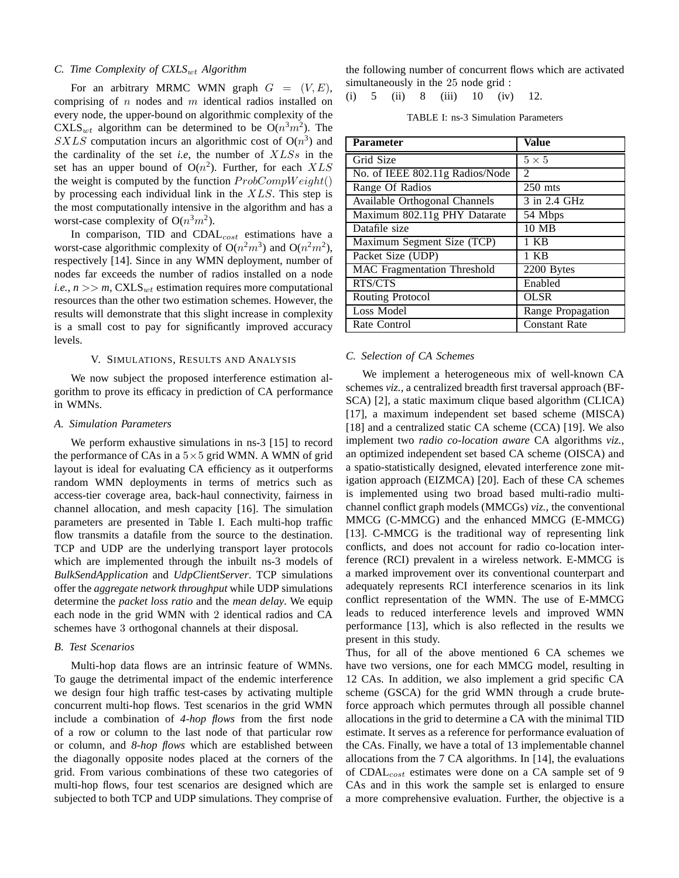#### *C. Time Complexity of CXLS<sub>wt</sub> Algorithm*

For an arbitrary MRMC WMN graph  $G = (V, E)$ , comprising of  $n$  nodes and  $m$  identical radios installed on every node, the upper-bound on algorithmic complexity of the CXLS<sub>wt</sub> algorithm can be determined to be  $O(n^3m^2)$ . The  $SXLS$  computation incurs an algorithmic cost of  $O(n^3)$  and the cardinality of the set *i.e*, the number of XLSs in the set has an upper bound of  $O(n^2)$ . Further, for each  $XLS$ the weight is computed by the function  $ProbCompWeight()$ by processing each individual link in the  $XLS$ . This step is the most computationally intensive in the algorithm and has a worst-case complexity of  $O(n^3m^2)$ .

In comparison, TID and  $CDAL_{cost}$  estimations have a worst-case algorithmic complexity of  $O(n^2m^3)$  and  $O(n^2m^2)$ , respectively [14]. Since in any WMN deployment, number of nodes far exceeds the number of radios installed on a node *i.e.*,  $n \gg m$ , CXLS<sub>wt</sub> estimation requires more computational resources than the other two estimation schemes. However, the results will demonstrate that this slight increase in complexity is a small cost to pay for significantly improved accuracy levels.

## V. SIMULATIONS, RESULTS AND ANALYSIS

We now subject the proposed interference estimation algorithm to prove its efficacy in prediction of CA performance in WMNs.

#### *A. Simulation Parameters*

We perform exhaustive simulations in ns-3 [15] to record the performance of CAs in a  $5\times 5$  grid WMN. A WMN of grid layout is ideal for evaluating CA efficiency as it outperforms random WMN deployments in terms of metrics such as access-tier coverage area, back-haul connectivity, fairness in channel allocation, and mesh capacity [16]. The simulation parameters are presented in Table I. Each multi-hop traffic flow transmits a datafile from the source to the destination. TCP and UDP are the underlying transport layer protocols which are implemented through the inbuilt ns-3 models of *BulkSendApplication* and *UdpClientServer*. TCP simulations offer the *aggregate network throughput* while UDP simulations determine the *packet loss ratio* and the *mean delay*. We equip each node in the grid WMN with 2 identical radios and CA schemes have 3 orthogonal channels at their disposal.

## *B. Test Scenarios*

Multi-hop data flows are an intrinsic feature of WMNs. To gauge the detrimental impact of the endemic interference we design four high traffic test-cases by activating multiple concurrent multi-hop flows. Test scenarios in the grid WMN include a combination of *4-hop flows* from the first node of a row or column to the last node of that particular row or column, and *8-hop flows* which are established between the diagonally opposite nodes placed at the corners of the grid. From various combinations of these two categories of multi-hop flows, four test scenarios are designed which are subjected to both TCP and UDP simulations. They comprise of the following number of concurrent flows which are activated simultaneously in the 25 node grid :

(i) 
$$
5
$$
 (ii)  $8$  (iii)  $10$  (iv)  $12$ .

TABLE I: ns-3 Simulation Parameters

| Parameter                          | <b>Value</b>                |
|------------------------------------|-----------------------------|
| Grid Size                          | $5 \times 5$                |
| No. of IEEE 802.11g Radios/Node    | $\mathcal{D}_{\mathcal{L}}$ |
| Range Of Radios                    | $250$ mts                   |
| Available Orthogonal Channels      | 3 in 2.4 GHz                |
| Maximum 802.11g PHY Datarate       | 54 Mbps                     |
| Datafile size                      | 10 MB                       |
| Maximum Segment Size (TCP)         | 1 KB                        |
| Packet Size (UDP)                  | 1 KB                        |
| <b>MAC</b> Fragmentation Threshold | 2200 Bytes                  |
| RTS/CTS                            | Enabled                     |
| Routing Protocol                   | <b>OLSR</b>                 |
| Loss Model                         | Range Propagation           |
| Rate Control                       | <b>Constant Rate</b>        |

#### *C. Selection of CA Schemes*

We implement a heterogeneous mix of well-known CA schemes *viz.*, a centralized breadth first traversal approach (BF-SCA) [2], a static maximum clique based algorithm (CLICA) [17], a maximum independent set based scheme (MISCA) [18] and a centralized static CA scheme (CCA) [19]. We also implement two *radio co-location aware* CA algorithms *viz.*, an optimized independent set based CA scheme (OISCA) and a spatio-statistically designed, elevated interference zone mitigation approach (EIZMCA) [20]. Each of these CA schemes is implemented using two broad based multi-radio multichannel conflict graph models (MMCGs) *viz.*, the conventional MMCG (C-MMCG) and the enhanced MMCG (E-MMCG) [13]. C-MMCG is the traditional way of representing link conflicts, and does not account for radio co-location interference (RCI) prevalent in a wireless network. E-MMCG is a marked improvement over its conventional counterpart and adequately represents RCI interference scenarios in its link conflict representation of the WMN. The use of E-MMCG leads to reduced interference levels and improved WMN performance [13], which is also reflected in the results we present in this study.

Thus, for all of the above mentioned 6 CA schemes we have two versions, one for each MMCG model, resulting in 12 CAs. In addition, we also implement a grid specific CA scheme (GSCA) for the grid WMN through a crude bruteforce approach which permutes through all possible channel allocations in the grid to determine a CA with the minimal TID estimate. It serves as a reference for performance evaluation of the CAs. Finally, we have a total of 13 implementable channel allocations from the 7 CA algorithms. In [14], the evaluations of CDALcost estimates were done on a CA sample set of 9 CAs and in this work the sample set is enlarged to ensure a more comprehensive evaluation. Further, the objective is a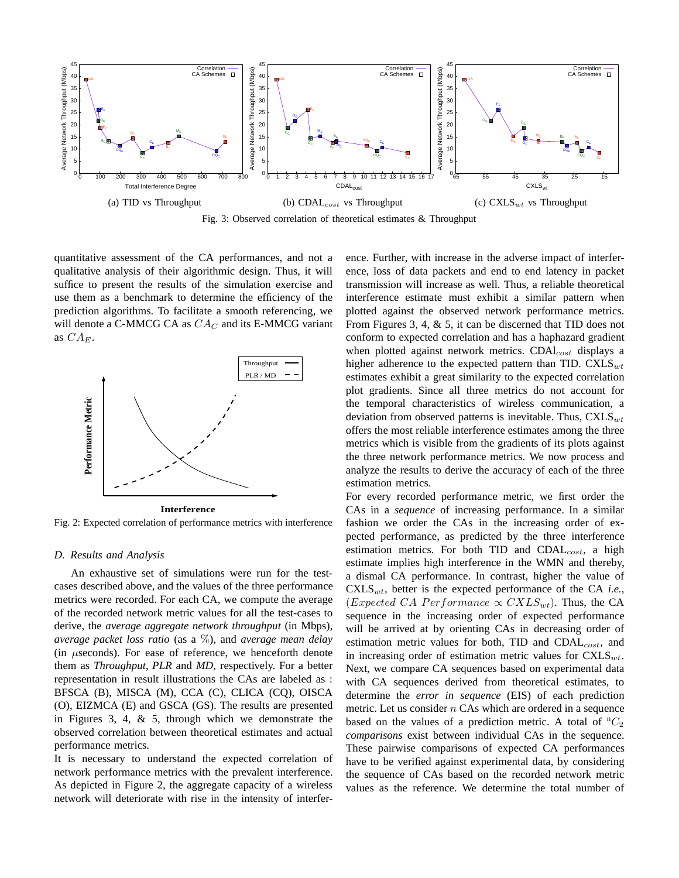

Fig. 3: Observed correlation of theoretical estimates & Throughput

quantitative assessment of the CA performances, and not a qualitative analysis of their algorithmic design. Thus, it will suffice to present the results of the simulation exercise and use them as a benchmark to determine the efficiency of the prediction algorithms. To facilitate a smooth referencing, we will denote a C-MMCG CA as  $CA_C$  and its E-MMCG variant as  $CA_E$ .



Fig. 2: Expected correlation of performance metrics with interference

#### *D. Results and Analysis*

An exhaustive set of simulations were run for the testcases described above, and the values of the three performance metrics were recorded. For each CA, we compute the average of the recorded network metric values for all the test-cases to derive, the *average aggregate network throughput* (in Mbps), *average packet loss ratio* (as a %), and *average mean delay* (in  $\mu$ seconds). For ease of reference, we henceforth denote them as *Throughput*, *PLR* and *MD*, respectively. For a better representation in result illustrations the CAs are labeled as : BFSCA (B), MISCA (M), CCA (C), CLICA (CQ), OISCA (O), EIZMCA (E) and GSCA (GS). The results are presented in Figures 3, 4, & 5, through which we demonstrate the observed correlation between theoretical estimates and actual performance metrics.

It is necessary to understand the expected correlation of network performance metrics with the prevalent interference. As depicted in Figure 2, the aggregate capacity of a wireless network will deteriorate with rise in the intensity of interference. Further, with increase in the adverse impact of interference, loss of data packets and end to end latency in packet transmission will increase as well. Thus, a reliable theoretical interference estimate must exhibit a similar pattern when plotted against the observed network performance metrics. From Figures 3, 4, & 5, it can be discerned that TID does not conform to expected correlation and has a haphazard gradient when plotted against network metrics.  $CDAI_{cost}$  displays a higher adherence to the expected pattern than TID.  $\text{CXLS}_{wt}$ estimates exhibit a great similarity to the expected correlation plot gradients. Since all three metrics do not account for the temporal characteristics of wireless communication, a deviation from observed patterns is inevitable. Thus,  $\text{CXLS}_{wt}$ offers the most reliable interference estimates among the three metrics which is visible from the gradients of its plots against the three network performance metrics. We now process and analyze the results to derive the accuracy of each of the three estimation metrics.

For every recorded performance metric, we first order the CAs in a *sequence* of increasing performance. In a similar fashion we order the CAs in the increasing order of expected performance, as predicted by the three interference estimation metrics. For both TID and  $CDAL<sub>cost</sub>$ , a high estimate implies high interference in the WMN and thereby, a dismal CA performance. In contrast, higher the value of  $CXLS_{wt}$ , better is the expected performance of the CA *i.e.*, (Expected CA Performance  $\propto$  CXLS<sub>wt</sub>). Thus, the CA sequence in the increasing order of expected performance will be arrived at by orienting CAs in decreasing order of estimation metric values for both,  $TID$  and  $CDAL<sub>cost</sub>$ , and in increasing order of estimation metric values for  $CXLS_{wt}$ . Next, we compare CA sequences based on experimental data with CA sequences derived from theoretical estimates, to determine the *error in sequence* (EIS) of each prediction metric. Let us consider  $n$  CAs which are ordered in a sequence based on the values of a prediction metric. A total of  ${}^{n}C_{2}$ *comparisons* exist between individual CAs in the sequence. These pairwise comparisons of expected CA performances have to be verified against experimental data, by considering the sequence of CAs based on the recorded network metric values as the reference. We determine the total number of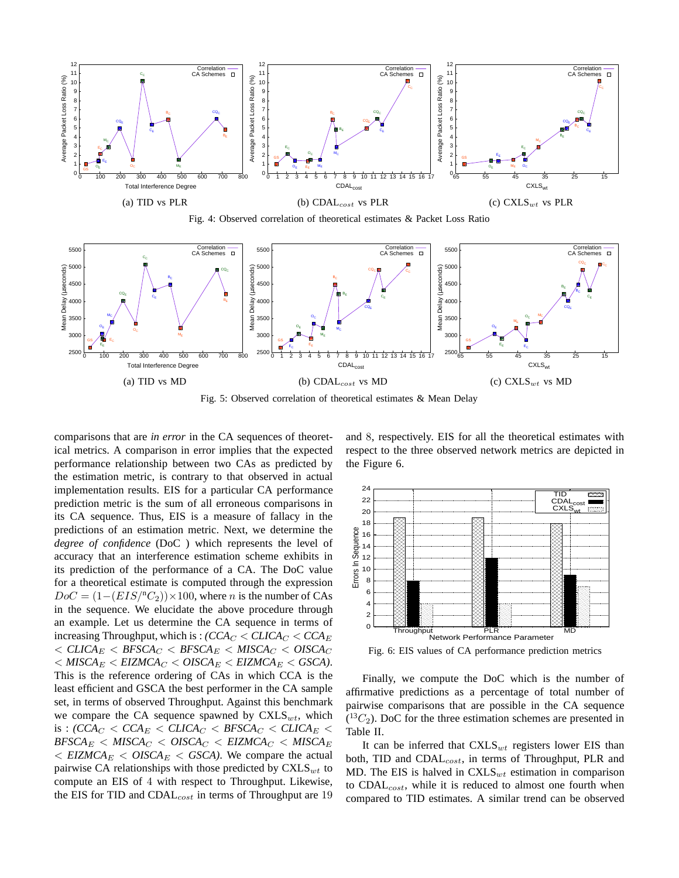

Fig. 4: Observed correlation of theoretical estimates & Packet Loss Ratio



Fig. 5: Observed correlation of theoretical estimates & Mean Delay

comparisons that are *in error* in the CA sequences of theoretical metrics. A comparison in error implies that the expected performance relationship between two CAs as predicted by the estimation metric, is contrary to that observed in actual implementation results. EIS for a particular CA performance prediction metric is the sum of all erroneous comparisons in its CA sequence. Thus, EIS is a measure of fallacy in the predictions of an estimation metric. Next, we determine the *degree of confidence* (DoC ) which represents the level of accuracy that an interference estimation scheme exhibits in its prediction of the performance of a CA. The DoC value for a theoretical estimate is computed through the expression  $DoC = (1 - (EIS)^{n}C_2) \times 100$ , where *n* is the number of CAs in the sequence. We elucidate the above procedure through an example. Let us determine the CA sequence in terms of increasing Throughput, which is :  $\left(CCA_C \leq CLICA_C \leq CCA_E\right)$  $<$  *CLICA*<sub>E</sub>  $<$  *BFSCA<sub>C</sub>*  $<$  *BFSCA*<sub>E</sub>  $<$  *MISCA<sub>C</sub>*  $<$  *OISCA<sub>C</sub>*  $< MISCA_E < ELZMCA_C < OISCA_E < ELZMCA_E < GSCA$ ). This is the reference ordering of CAs in which CCA is the least efficient and GSCA the best performer in the CA sample set, in terms of observed Throughput. Against this benchmark we compare the CA sequence spawned by  $\text{CXLS}_{wt}$ , which is :  $\left(CCA_C < CCA_E < CLICA_C < BFSCA_C < CLICA_E < \right)$  $BFSCA_E < MISCA_C < OISCA_C < ELZMCA_C < MISCA_E$  $\langle$  *EIZMCA*<sub>E</sub>  $\langle$  *OISCA*<sub>E</sub>  $\langle$  *GSCA*). We compare the actual pairwise CA relationships with those predicted by  $\text{CXLS}_{wt}$  to compute an EIS of 4 with respect to Throughput. Likewise, the EIS for TID and  $CDAL_{cost}$  in terms of Throughput are 19 and 8, respectively. EIS for all the theoretical estimates with respect to the three observed network metrics are depicted in the Figure 6.



Fig. 6: EIS values of CA performance prediction metrics

Finally, we compute the DoC which is the number of affirmative predictions as a percentage of total number of pairwise comparisons that are possible in the CA sequence  $(^{13}C_2)$ . DoC for the three estimation schemes are presented in Table II.

It can be inferred that  $\text{CXLS}_{wt}$  registers lower EIS than both, TID and  $CDAL_{cost}$ , in terms of Throughput, PLR and MD. The EIS is halved in  $\text{CXLS}_{wt}$  estimation in comparison to  $CDAL_{cost}$ , while it is reduced to almost one fourth when compared to TID estimates. A similar trend can be observed